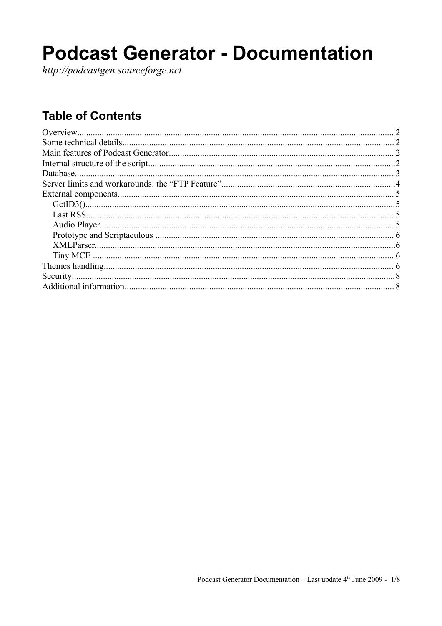# **Podcast Generator - Documentation**

http://podcastgen.sourceforge.net

## **Table of Contents**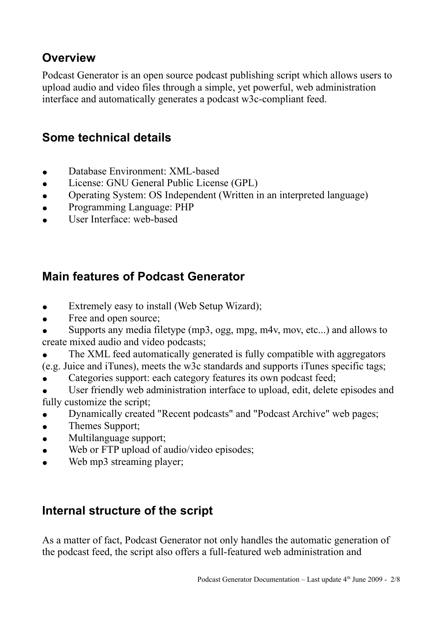## **Overview**

Podcast Generator is an open source podcast publishing script which allows users to upload audio and video files through a simple, yet powerful, web administration interface and automatically generates a podcast w3c-compliant feed.

### **Some technical details**

- Database Environment: XML-based
- License: GNU General Public License (GPL)
- Operating System: OS Independent (Written in an interpreted language)
- Programming Language: PHP
- User Interface: web-based

## **Main features of Podcast Generator**

- Extremely easy to install (Web Setup Wizard);
- Free and open source;
- Supports any media filetype (mp3, ogg, mpg, m4v, mov, etc...) and allows to create mixed audio and video podcasts;
- The XML feed automatically generated is fully compatible with aggregators
- (e.g. Juice and iTunes), meets the w3c standards and supports iTunes specific tags;
- Categories support: each category features its own podcast feed;
- User friendly web administration interface to upload, edit, delete episodes and fully customize the script;
- Dynamically created "Recent podcasts" and "Podcast Archive" web pages;
- Themes Support;
- Multilanguage support:
- Web or FTP upload of audio/video episodes;
- Web mp3 streaming player;

## **Internal structure of the script**

As a matter of fact, Podcast Generator not only handles the automatic generation of the podcast feed, the script also offers a full-featured web administration and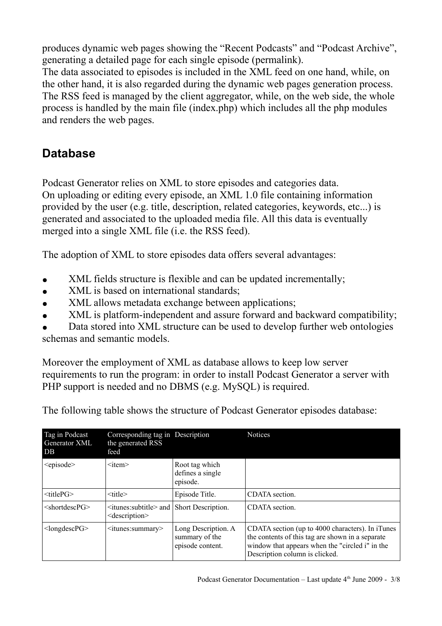produces dynamic web pages showing the "Recent Podcasts" and "Podcast Archive", generating a detailed page for each single episode (permalink).

The data associated to episodes is included in the XML feed on one hand, while, on the other hand, it is also regarded during the dynamic web pages generation process. The RSS feed is managed by the client aggregator, while, on the web side, the whole process is handled by the main file (index.php) which includes all the php modules and renders the web pages.

## **Database**

Podcast Generator relies on XML to store episodes and categories data. On uploading or editing every episode, an XML 1.0 file containing information provided by the user (e.g. title, description, related categories, keywords, etc...) is generated and associated to the uploaded media file. All this data is eventually merged into a single XML file (i.e. the RSS feed).

The adoption of XML to store episodes data offers several advantages:

- XML fields structure is flexible and can be updated incrementally;
- XML is based on international standards;
- XML allows metadata exchange between applications;
- XML is platform-independent and assure forward and backward compatibility;

Data stored into XML structure can be used to develop further web ontologies schemas and semantic models.

Moreover the employment of XML as database allows to keep low server requirements to run the program: in order to install Podcast Generator a server with PHP support is needed and no DBMS (e.g. MySOL) is required.

| Tag in Podcast<br><b>Generator XML</b><br>DB | Corresponding tag in Description<br>the generated RSS<br>feed             |                                                           | <b>Notices</b>                                                                                                                                                                            |
|----------------------------------------------|---------------------------------------------------------------------------|-----------------------------------------------------------|-------------------------------------------------------------------------------------------------------------------------------------------------------------------------------------------|
| <episode></episode>                          | $\leq$ item $\geq$                                                        | Root tag which<br>defines a single<br>episode.            |                                                                                                                                                                                           |
| $ltith$ erG $>$                              | $<$ title $>$                                                             | Episode Title.                                            | CDATA section.                                                                                                                                                                            |
| $\le$ shortdescPG $>$                        | <itunes:subtitle> and  <br/><description></description></itunes:subtitle> | Short Description.                                        | CDATA section.                                                                                                                                                                            |
| $<$ longdescPG $>$                           | $\le$ itunes: summary                                                     | Long Description. A<br>summary of the<br>episode content. | CDATA section (up to 4000 characters). In iTunes<br>the contents of this tag are shown in a separate<br>window that appears when the "circled i" in the<br>Description column is clicked. |

The following table shows the structure of Podcast Generator episodes database: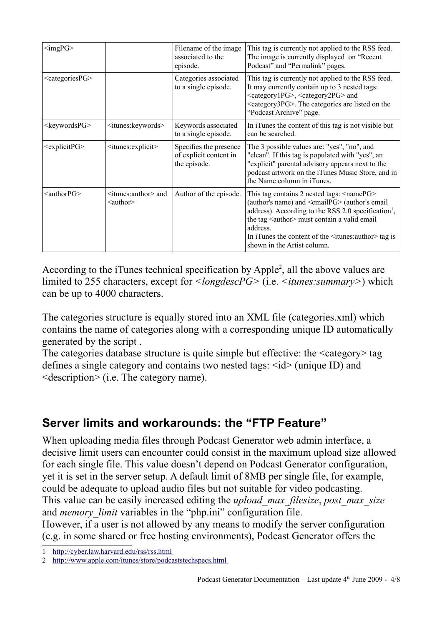| $\langle \text{imgPG} \rangle$ |                                                        | Filename of the image<br>associated to the<br>episode.           | This tag is currently not applied to the RSS feed.<br>The image is currently displayed on "Recent"<br>Podcast" and "Permalink" pages.                                                                                                                                                                                                                                            |
|--------------------------------|--------------------------------------------------------|------------------------------------------------------------------|----------------------------------------------------------------------------------------------------------------------------------------------------------------------------------------------------------------------------------------------------------------------------------------------------------------------------------------------------------------------------------|
| <categoriespg></categoriespg>  |                                                        | Categories associated<br>to a single episode.                    | This tag is currently not applied to the RSS feed.<br>It may currently contain up to 3 nested tags:<br><category1pg>, <category2pg> and<br/><category3pg>. The categories are listed on the<br/>"Podcast Archive" page.</category3pg></category2pg></category1pg>                                                                                                                |
| <keywordspg></keywordspg>      | <itunes:keywords></itunes:keywords>                    | Keywords associated<br>to a single episode.                      | In iTunes the content of this tag is not visible but<br>can be searched.                                                                                                                                                                                                                                                                                                         |
| <explicitpg></explicitpg>      | <itunes:explicit></itunes:explicit>                    | Specifies the presence<br>of explicit content in<br>the episode. | The 3 possible values are: "yes", "no", and<br>"clean". If this tag is populated with "yes", an<br>"explicit" parental advisory appears next to the<br>podcast artwork on the iTunes Music Store, and in<br>the Name column in iTunes.                                                                                                                                           |
| <authorpg></authorpg>          | $\le$ itunes: author $\ge$ and<br>$\leq$ author $\geq$ | Author of the episode.                                           | This tag contains 2 nested tags: <namepg><br/>(author's name) and <emailpg> (author's email<br/>address). According to the RSS 2.0 specification<sup>1</sup>,<br/>the tag <author> must contain a valid email<br/>address.<br/>In iTunes the content of the <math>\leq</math>itunes: author <math>\geq</math> tag is<br/>shown in the Artist column.</author></emailpg></namepg> |

According to the iTunes technical specification by Apple<sup>[2](#page-3-1)</sup>, all the above values are limited to 255 characters, except for *<longdescPG>* (i.e. *<itunes:summary>*) which can be up to 4000 characters.

The categories structure is equally stored into an XML file (categories.xml) which contains the name of categories along with a corresponding unique ID automatically generated by the script .

The categories database structure is quite simple but effective: the <category> tag defines a single category and contains two nested tags:  $\langle id \rangle$  (unique ID) and <description> (i.e. The category name).

## **Server limits and workarounds: the "FTP Feature"**

When uploading media files through Podcast Generator web admin interface, a decisive limit users can encounter could consist in the maximum upload size allowed for each single file. This value doesn't depend on Podcast Generator configuration, yet it is set in the server setup. A default limit of 8MB per single file, for example, could be adequate to upload audio files but not suitable for video podcasting. This value can be easily increased editing the *upload\_max\_filesize*, *post\_max\_size* and *memory* limit variables in the "php.ini" configuration file. However, if a user is not allowed by any means to modify the server configuration (e.g. in some shared or free hosting environments), Podcast Generator offers the

<span id="page-3-0"></span><sup>1</sup><http://cyber.law.harvard.edu/rss/rss.html>

<span id="page-3-1"></span><sup>2</sup> <http://www.apple.com/itunes/store/podcaststechspecs.html>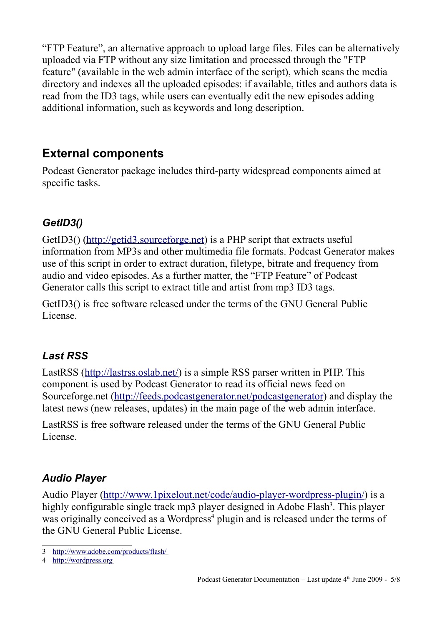"FTP Feature", an alternative approach to upload large files. Files can be alternatively uploaded via FTP without any size limitation and processed through the "FTP feature" (available in the web admin interface of the script), which scans the media directory and indexes all the uploaded episodes: if available, titles and authors data is read from the ID3 tags, while users can eventually edit the new episodes adding additional information, such as keywords and long description.

## **External components**

Podcast Generator package includes third-party widespread components aimed at specific tasks.

#### *GetID3()*

GetID3() [\(http://getid3.sourceforge.net\)](http://getid3.sourceforge.net/) is a PHP script that extracts useful information from MP3s and other multimedia file formats. Podcast Generator makes use of this script in order to extract duration, filetype, bitrate and frequency from audio and video episodes. As a further matter, the "FTP Feature" of Podcast Generator calls this script to extract title and artist from mp3 ID3 tags.

GetID3() is free software released under the terms of the GNU General Public License.

#### *Last RSS*

LastRSS [\(http://lastrss.oslab.net/\)](http://lastrss.oslab.net/) is a simple RSS parser written in PHP. This component is used by Podcast Generator to read its official news feed on Sourceforge.net [\(http://feeds.podcastgenerator.net/podcastgenerator\)](http://feeds.podcastgenerator.net/podcastgenerator) and display the latest news (new releases, updates) in the main page of the web admin interface.

LastRSS is free software released under the terms of the GNU General Public License.

#### *Audio Player*

Audio Player [\(http://www.1pixelout.net/code/audio-player-wordpress-plugin/\)](http://www.1pixelout.net/code/audio-player-wordpress-plugin/) is a highly configurable single track mp[3](#page-4-0) player designed in Adobe Flash<sup>3</sup>. This player was originally conceived as a Wordpress<sup>[4](#page-4-1)</sup> plugin and is released under the terms of the GNU General Public License.

<span id="page-4-0"></span><sup>3</sup><http://www.adobe.com/products/flash/>

<span id="page-4-1"></span><sup>4</sup> [http://wordpress.org](http://wordpress.org/)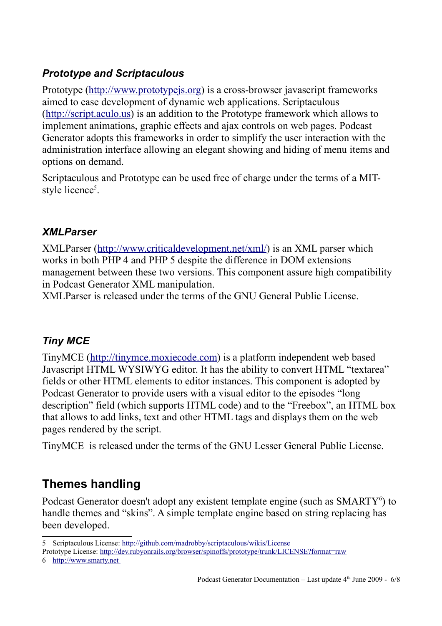#### *Prototype and Scriptaculous*

Prototype [\(http://www.prototypejs.org\)](http://www.prototypejs.org/) is a cross-browser javascript frameworks aimed to ease development of dynamic web applications. Scriptaculous [\(http://script.aculo.us\)](http://script.aculo.us/) is an addition to the Prototype framework which allows to implement animations, graphic effects and ajax controls on web pages. Podcast Generator adopts this frameworks in order to simplify the user interaction with the administration interface allowing an elegant showing and hiding of menu items and options on demand.

Scriptaculous and Prototype can be used free of charge under the terms of a MIT-style licence<sup>[5](#page-5-0)</sup>.

#### *XMLParser*

XMLParser [\(http://www.criticaldevelopment.net/xml/\)](http://www.criticaldevelopment.net/xml/) is an XML parser which works in both PHP 4 and PHP 5 despite the difference in DOM extensions management between these two versions. This component assure high compatibility in Podcast Generator XML manipulation.

XMLParser is released under the terms of the GNU General Public License.

#### *Tiny MCE*

TinyMCE [\(http://tinymce.moxiecode.com\)](http://tinymce.moxiecode.com/) is a platform independent web based Javascript HTML WYSIWYG editor. It has the ability to convert HTML "textarea" fields or other HTML elements to editor instances. This component is adopted by Podcast Generator to provide users with a visual editor to the episodes "long description" field (which supports HTML code) and to the "Freebox", an HTML box that allows to add links, text and other HTML tags and displays them on the web pages rendered by the script.

TinyMCE is released under the terms of the GNU Lesser General Public License.

## **Themes handling**

Podcast Generator doesn't adopt any existent template engine (such as SMARTY<sup>[6](#page-5-1)</sup>) to handle themes and "skins". A simple template engine based on string replacing has been developed.

<span id="page-5-0"></span><sup>5</sup> Scriptaculous License:<http://github.com/madrobby/scriptaculous/wikis/License>

Prototype License:<http://dev.rubyonrails.org/browser/spinoffs/prototype/trunk/LICENSE?format=raw>

<span id="page-5-1"></span><sup>6</sup> [http://www.smarty.net](http://www.smarty.net/)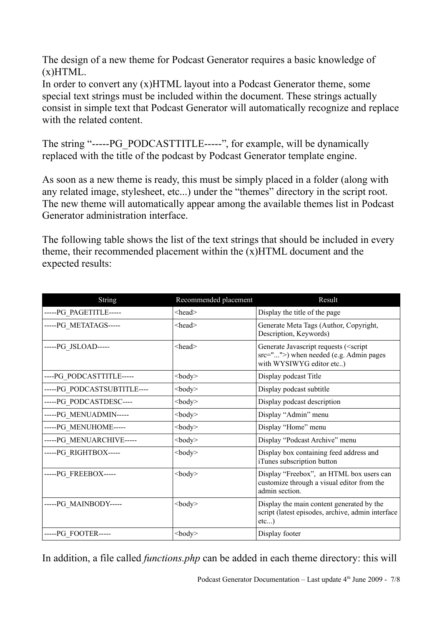The design of a new theme for Podcast Generator requires a basic knowledge of  $(x)$ HTML.

In order to convert any (x)HTML layout into a Podcast Generator theme, some special text strings must be included within the document. These strings actually consist in simple text that Podcast Generator will automatically recognize and replace with the related content.

The string "-----PG\_PODCASTTITLE-----", for example, will be dynamically replaced with the title of the podcast by Podcast Generator template engine.

As soon as a new theme is ready, this must be simply placed in a folder (along with any related image, stylesheet, etc...) under the "themes" directory in the script root. The new theme will automatically appear among the available themes list in Podcast Generator administration interface.

The following table shows the list of the text strings that should be included in every theme, their recommended placement within the (x)HTML document and the expected results:

| String                      | Recommended placement | Result                                                                                                                       |
|-----------------------------|-----------------------|------------------------------------------------------------------------------------------------------------------------------|
| -----PG_PAGETITLE-----      | <head></head>         | Display the title of the page                                                                                                |
| ----- PG METATAGS-----      | $<$ head $>$          | Generate Meta Tags (Author, Copyright,<br>Description, Keywords)                                                             |
| -----PG_JSLOAD-----         | $<$ head $>$          | Generate Javascript requests ( <script<br>src=""&gt;) when needed (e.g. Admin pages<br/>with WYSIWYG editor etc)</script<br> |
| ----PG_PODCASTTITLE-----    | $<$ body $>$          | Display podcast Title                                                                                                        |
| -----PG_PODCASTSUBTITLE---- | $<$ body $>$          | Display podcast subtitle                                                                                                     |
| -----PG_PODCASTDESC----     | $<$ body $>$          | Display podcast description                                                                                                  |
| -----PG_MENUADMIN-----      | $<$ body $>$          | Display "Admin" menu                                                                                                         |
| -----PG_MENUHOME-----       | $<$ body $>$          | Display "Home" menu                                                                                                          |
| -----PG_MENUARCHIVE-----    | $<$ body $>$          | Display "Podcast Archive" menu                                                                                               |
| -----PG_RIGHTBOX-----       | $<$ body $>$          | Display box containing feed address and<br>iTunes subscription button                                                        |
| -----PG_FREEBOX-----        | $<$ body $>$          | Display "Freebox", an HTML box users can<br>customize through a visual editor from the<br>admin section.                     |
| -----PG MAINBODY-----       | $<$ body $>$          | Display the main content generated by the<br>script (latest episodes, archive, admin interface<br>$etc$ )                    |
| -----PG FOOTER-----         | $<$ body $>$          | Display footer                                                                                                               |

In addition, a file called *functions.php* can be added in each theme directory: this will